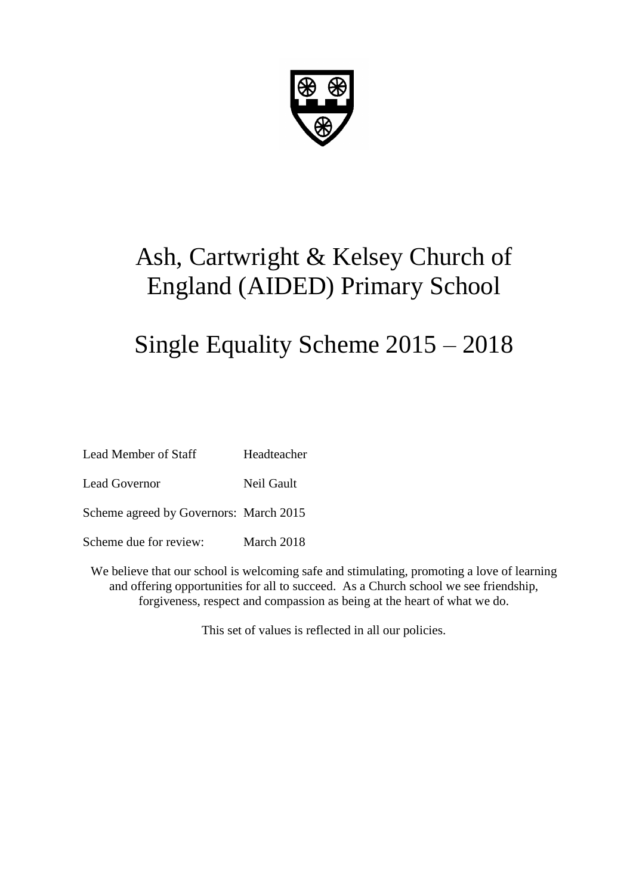

# Ash, Cartwright & Kelsey Church of England (AIDED) Primary School

# Single Equality Scheme 2015 – 2018

| <b>Lead Member of Staff</b>            | Headteacher |
|----------------------------------------|-------------|
| Lead Governor                          | Neil Gault  |
| Scheme agreed by Governors: March 2015 |             |
| Scheme due for review:                 | March 2018  |

We believe that our school is welcoming safe and stimulating, promoting a love of learning and offering opportunities for all to succeed. As a Church school we see friendship, forgiveness, respect and compassion as being at the heart of what we do.

This set of values is reflected in all our policies.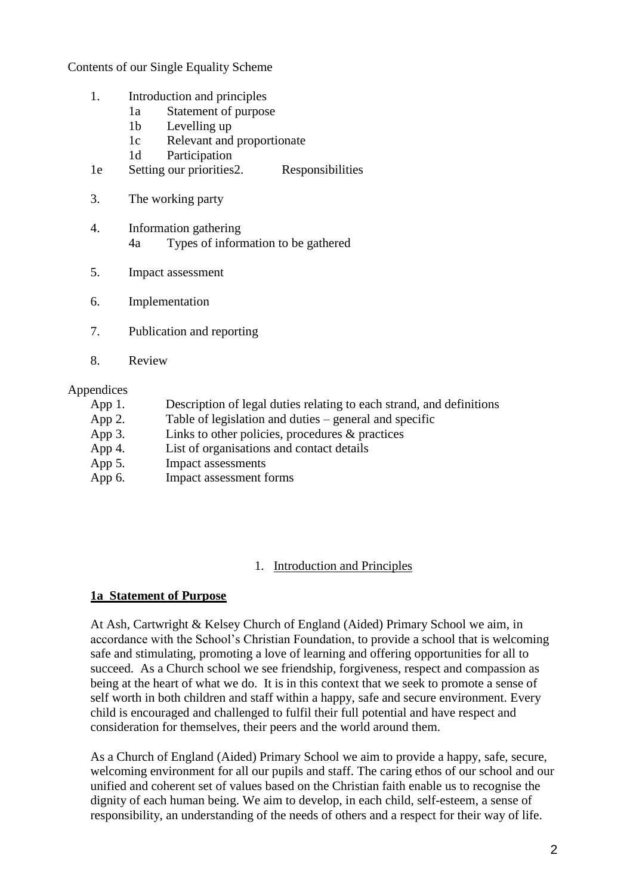Contents of our Single Equality Scheme

- 1. Introduction and principles
	- 1a Statement of purpose
	- 1b Levelling up
	- 1c Relevant and proportionate
	- 1d Participation
- 1e Setting our priorities2. Responsibilities
- 3. The working party
- 4. Information gathering 4a Types of information to be gathered
- 5. Impact assessment
- 6. Implementation
- 7. Publication and reporting
- 8. Review

#### Appendices

- App 1. Description of legal duties relating to each strand, and definitions
- App 2. Table of legislation and duties general and specific
- App 3. Links to other policies, procedures & practices
- App 4. List of organisations and contact details
- App 5. Impact assessments
- App 6. Impact assessment forms

### 1. Introduction and Principles

### **1a Statement of Purpose**

At Ash, Cartwright & Kelsey Church of England (Aided) Primary School we aim, in accordance with the School's Christian Foundation, to provide a school that is welcoming safe and stimulating, promoting a love of learning and offering opportunities for all to succeed. As a Church school we see friendship, forgiveness, respect and compassion as being at the heart of what we do. It is in this context that we seek to promote a sense of self worth in both children and staff within a happy, safe and secure environment. Every child is encouraged and challenged to fulfil their full potential and have respect and consideration for themselves, their peers and the world around them.

As a Church of England (Aided) Primary School we aim to provide a happy, safe, secure, welcoming environment for all our pupils and staff. The caring ethos of our school and our unified and coherent set of values based on the Christian faith enable us to recognise the dignity of each human being. We aim to develop, in each child, self-esteem, a sense of responsibility, an understanding of the needs of others and a respect for their way of life.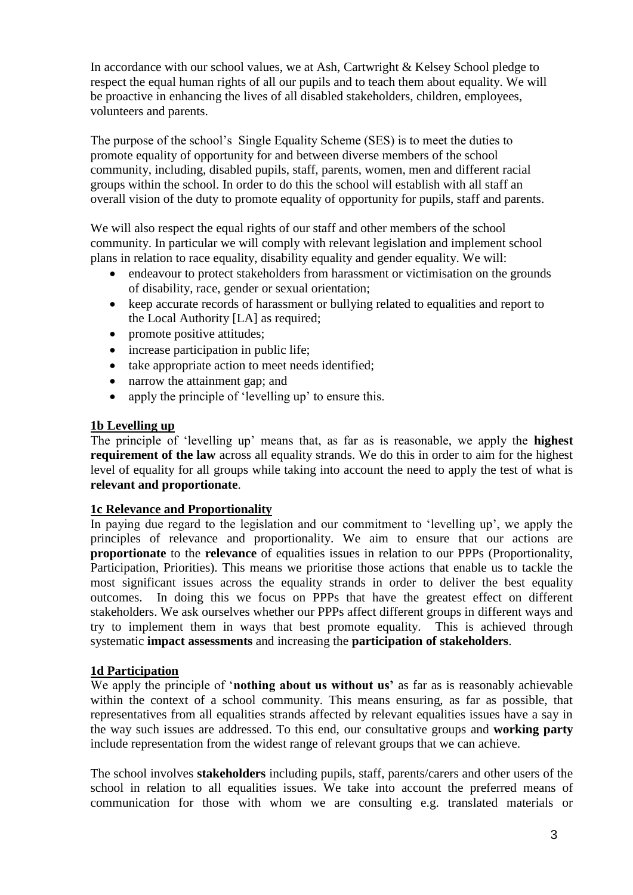In accordance with our school values, we at Ash, Cartwright & Kelsey School pledge to respect the equal human rights of all our pupils and to teach them about equality. We will be proactive in enhancing the lives of all disabled stakeholders, children, employees, volunteers and parents.

The purpose of the school's Single Equality Scheme (SES) is to meet the duties to promote equality of opportunity for and between diverse members of the school community, including, disabled pupils, staff, parents, women, men and different racial groups within the school. In order to do this the school will establish with all staff an overall vision of the duty to promote equality of opportunity for pupils, staff and parents.

We will also respect the equal rights of our staff and other members of the school community. In particular we will comply with relevant legislation and implement school plans in relation to race equality, disability equality and gender equality. We will:

- endeavour to protect stakeholders from harassment or victimisation on the grounds of disability, race, gender or sexual orientation;
- keep accurate records of harassment or bullying related to equalities and report to the Local Authority [LA] as required;
- promote positive attitudes;
- increase participation in public life;
- take appropriate action to meet needs identified;
- narrow the attainment gap; and
- apply the principle of 'levelling up' to ensure this.

### **1b Levelling up**

The principle of 'levelling up' means that, as far as is reasonable, we apply the **highest requirement of the law** across all equality strands. We do this in order to aim for the highest level of equality for all groups while taking into account the need to apply the test of what is **relevant and proportionate**.

### **1c Relevance and Proportionality**

In paying due regard to the legislation and our commitment to 'levelling up', we apply the principles of relevance and proportionality. We aim to ensure that our actions are **proportionate** to the **relevance** of equalities issues in relation to our PPPs (Proportionality, Participation, Priorities). This means we prioritise those actions that enable us to tackle the most significant issues across the equality strands in order to deliver the best equality outcomes. In doing this we focus on PPPs that have the greatest effect on different stakeholders. We ask ourselves whether our PPPs affect different groups in different ways and try to implement them in ways that best promote equality. This is achieved through systematic **impact assessments** and increasing the **participation of stakeholders**.

### **1d Participation**

We apply the principle of '**nothing about us without us'** as far as is reasonably achievable within the context of a school community. This means ensuring, as far as possible, that representatives from all equalities strands affected by relevant equalities issues have a say in the way such issues are addressed. To this end, our consultative groups and **working party** include representation from the widest range of relevant groups that we can achieve.

The school involves **stakeholders** including pupils, staff, parents/carers and other users of the school in relation to all equalities issues. We take into account the preferred means of communication for those with whom we are consulting e.g. translated materials or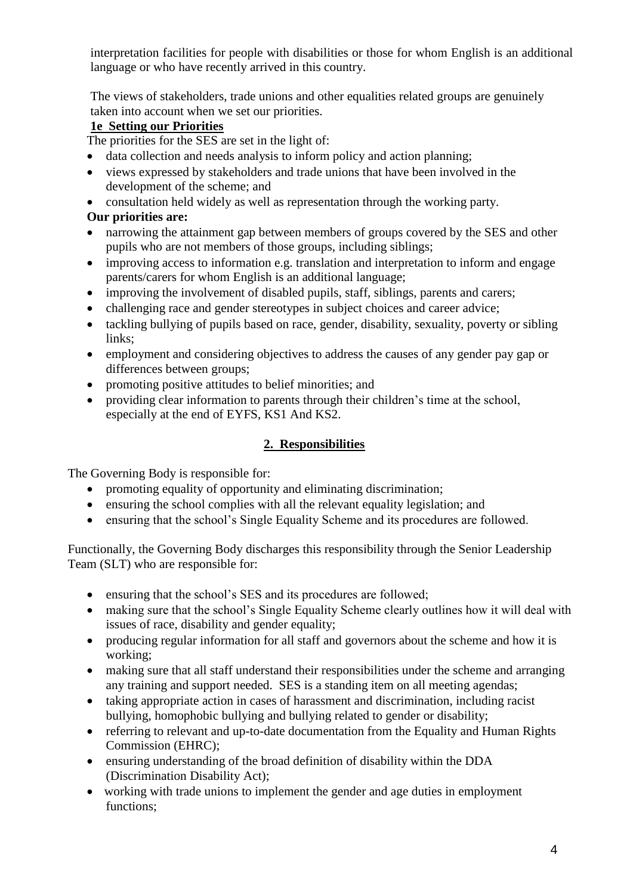interpretation facilities for people with disabilities or those for whom English is an additional language or who have recently arrived in this country.

The views of stakeholders, trade unions and other equalities related groups are genuinely taken into account when we set our priorities.

### **1e Setting our Priorities**

The priorities for the SES are set in the light of:

- data collection and needs analysis to inform policy and action planning;
- views expressed by stakeholders and trade unions that have been involved in the development of the scheme; and
- consultation held widely as well as representation through the working party.

### **Our priorities are:**

- narrowing the attainment gap between members of groups covered by the SES and other pupils who are not members of those groups, including siblings;
- improving access to information e.g. translation and interpretation to inform and engage parents/carers for whom English is an additional language;
- improving the involvement of disabled pupils, staff, siblings, parents and carers;
- challenging race and gender stereotypes in subject choices and career advice;
- tackling bullying of pupils based on race, gender, disability, sexuality, poverty or sibling links;
- employment and considering objectives to address the causes of any gender pay gap or differences between groups;
- promoting positive attitudes to belief minorities; and
- providing clear information to parents through their children's time at the school, especially at the end of EYFS, KS1 And KS2.

### **2. Responsibilities**

The Governing Body is responsible for:

- promoting equality of opportunity and eliminating discrimination;
- ensuring the school complies with all the relevant equality legislation; and
- ensuring that the school's Single Equality Scheme and its procedures are followed.

Functionally, the Governing Body discharges this responsibility through the Senior Leadership Team (SLT) who are responsible for:

- ensuring that the school's SES and its procedures are followed;
- making sure that the school's Single Equality Scheme clearly outlines how it will deal with issues of race, disability and gender equality;
- producing regular information for all staff and governors about the scheme and how it is working;
- making sure that all staff understand their responsibilities under the scheme and arranging any training and support needed. SES is a standing item on all meeting agendas;
- taking appropriate action in cases of harassment and discrimination, including racist bullying, homophobic bullying and bullying related to gender or disability;
- referring to relevant and up-to-date documentation from the Equality and Human Rights Commission (EHRC);
- ensuring understanding of the broad definition of disability within the DDA (Discrimination Disability Act);
- working with trade unions to implement the gender and age duties in employment functions;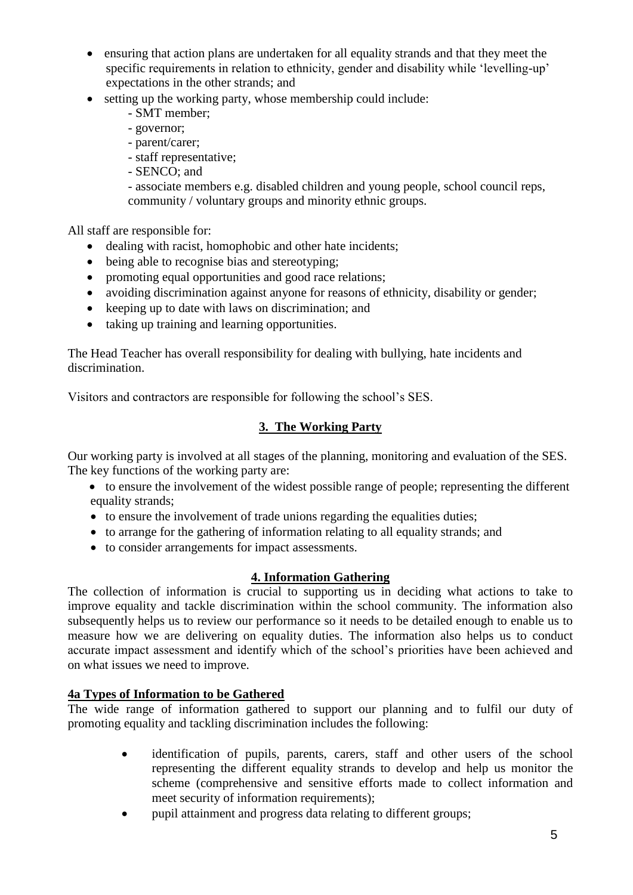- ensuring that action plans are undertaken for all equality strands and that they meet the specific requirements in relation to ethnicity, gender and disability while 'levelling-up' expectations in the other strands; and
- setting up the working party, whose membership could include:
	- SMT member;
	- governor;
	- parent/carer;
	- staff representative;
	- SENCO; and

- associate members e.g. disabled children and young people, school council reps, community / voluntary groups and minority ethnic groups.

All staff are responsible for:

- dealing with racist, homophobic and other hate incidents;
- being able to recognise bias and stereotyping;
- promoting equal opportunities and good race relations;
- avoiding discrimination against anyone for reasons of ethnicity, disability or gender;
- keeping up to date with laws on discrimination; and
- taking up training and learning opportunities.

The Head Teacher has overall responsibility for dealing with bullying, hate incidents and discrimination.

Visitors and contractors are responsible for following the school's SES.

### **3. The Working Party**

Our working party is involved at all stages of the planning, monitoring and evaluation of the SES. The key functions of the working party are:

- to ensure the involvement of the widest possible range of people; representing the different equality strands;
- to ensure the involvement of trade unions regarding the equalities duties;
- to arrange for the gathering of information relating to all equality strands; and
- to consider arrangements for impact assessments.

### **4. Information Gathering**

The collection of information is crucial to supporting us in deciding what actions to take to improve equality and tackle discrimination within the school community. The information also subsequently helps us to review our performance so it needs to be detailed enough to enable us to measure how we are delivering on equality duties. The information also helps us to conduct accurate impact assessment and identify which of the school's priorities have been achieved and on what issues we need to improve.

### **4a Types of Information to be Gathered**

The wide range of information gathered to support our planning and to fulfil our duty of promoting equality and tackling discrimination includes the following:

- identification of pupils, parents, carers, staff and other users of the school representing the different equality strands to develop and help us monitor the scheme (comprehensive and sensitive efforts made to collect information and meet security of information requirements);
- pupil attainment and progress data relating to different groups;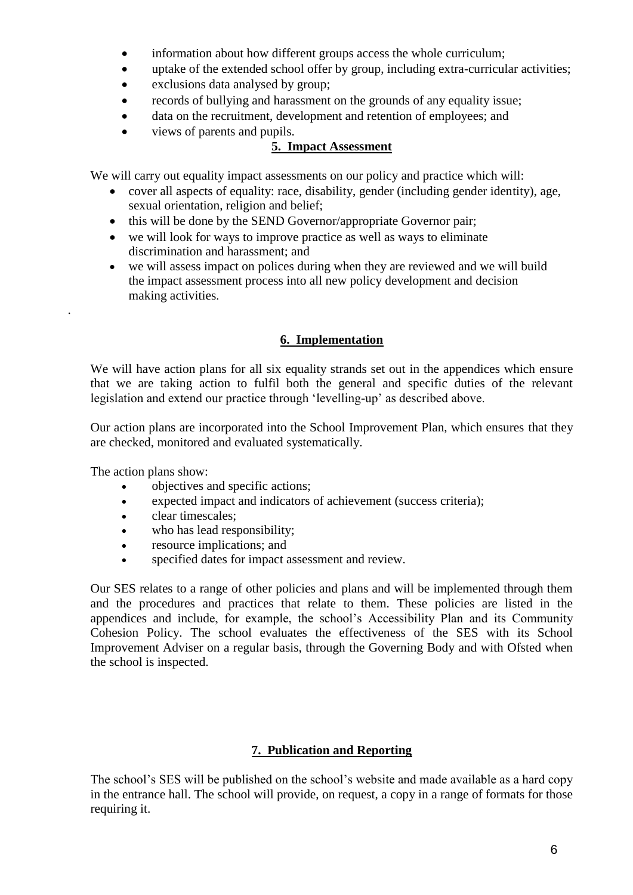- information about how different groups access the whole curriculum;
- uptake of the extended school offer by group, including extra-curricular activities;
- exclusions data analysed by group;
- records of bullying and harassment on the grounds of any equality issue;
- data on the recruitment, development and retention of employees; and
- views of parents and pupils.

### **5. Impact Assessment**

We will carry out equality impact assessments on our policy and practice which will:

- cover all aspects of equality: race, disability, gender (including gender identity), age, sexual orientation, religion and belief;
- this will be done by the SEND Governor/appropriate Governor pair;
- we will look for ways to improve practice as well as ways to eliminate discrimination and harassment; and
- we will assess impact on polices during when they are reviewed and we will build the impact assessment process into all new policy development and decision making activities.

### **6. Implementation**

We will have action plans for all six equality strands set out in the appendices which ensure that we are taking action to fulfil both the general and specific duties of the relevant legislation and extend our practice through 'levelling-up' as described above.

Our action plans are incorporated into the School Improvement Plan, which ensures that they are checked, monitored and evaluated systematically.

The action plans show:

.

- objectives and specific actions;
- expected impact and indicators of achievement (success criteria);
- clear timescales;
- who has lead responsibility;
- resource implications; and
- specified dates for impact assessment and review.

Our SES relates to a range of other policies and plans and will be implemented through them and the procedures and practices that relate to them. These policies are listed in the appendices and include, for example, the school's Accessibility Plan and its Community Cohesion Policy. The school evaluates the effectiveness of the SES with its School Improvement Adviser on a regular basis, through the Governing Body and with Ofsted when the school is inspected.

### **7. Publication and Reporting**

The school's SES will be published on the school's website and made available as a hard copy in the entrance hall. The school will provide, on request, a copy in a range of formats for those requiring it.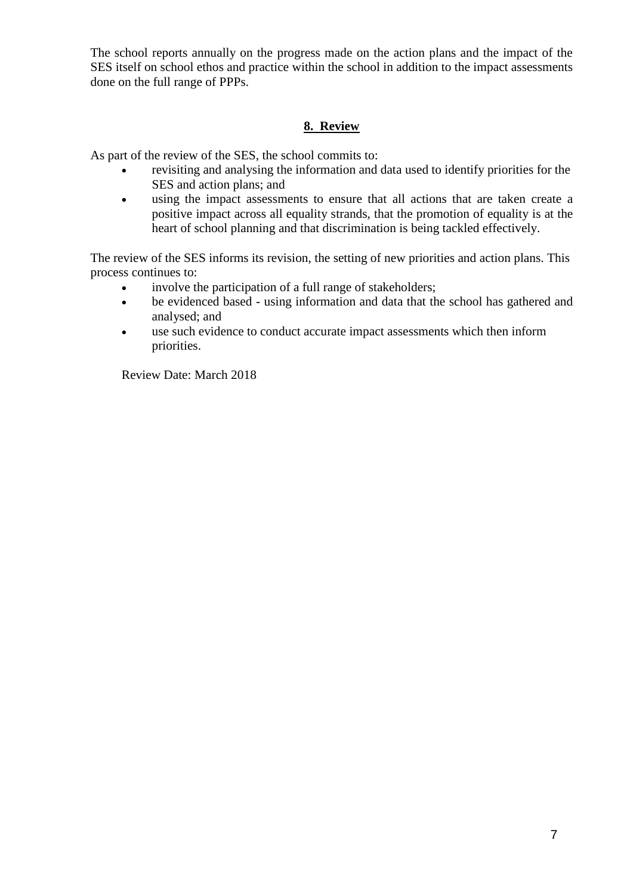The school reports annually on the progress made on the action plans and the impact of the SES itself on school ethos and practice within the school in addition to the impact assessments done on the full range of PPPs.

### **8. Review**

As part of the review of the SES, the school commits to:

- revisiting and analysing the information and data used to identify priorities for the SES and action plans; and
- using the impact assessments to ensure that all actions that are taken create a positive impact across all equality strands, that the promotion of equality is at the heart of school planning and that discrimination is being tackled effectively.

The review of the SES informs its revision, the setting of new priorities and action plans. This process continues to:

- involve the participation of a full range of stakeholders;
- be evidenced based using information and data that the school has gathered and analysed; and
- use such evidence to conduct accurate impact assessments which then inform priorities.

Review Date: March 2018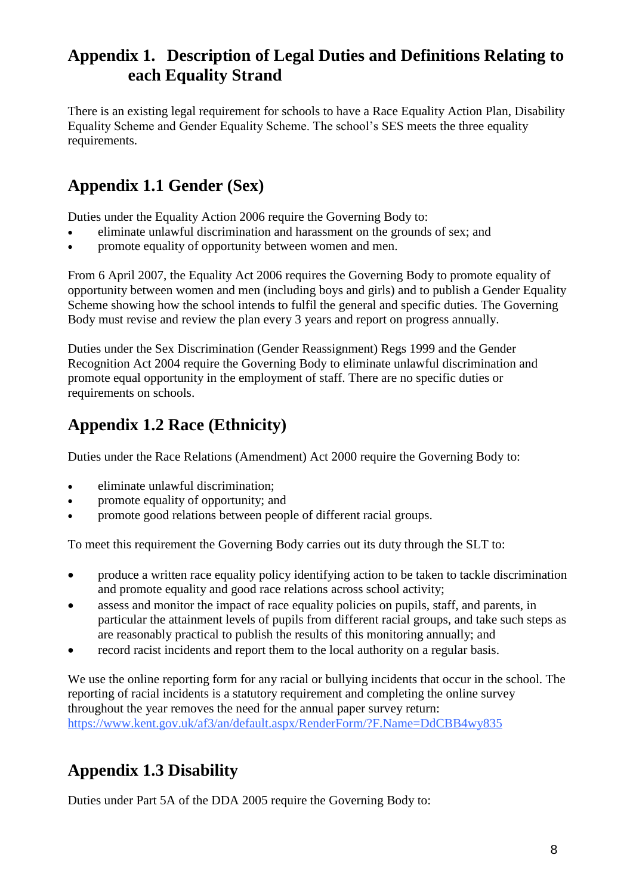### **Appendix 1. Description of Legal Duties and Definitions Relating to each Equality Strand**

There is an existing legal requirement for schools to have a Race Equality Action Plan, Disability Equality Scheme and Gender Equality Scheme. The school's SES meets the three equality requirements.

# **Appendix 1.1 Gender (Sex)**

Duties under the Equality Action 2006 require the Governing Body to:

- eliminate unlawful discrimination and harassment on the grounds of sex; and
- promote equality of opportunity between women and men.

From 6 April 2007, the Equality Act 2006 requires the Governing Body to promote equality of opportunity between women and men (including boys and girls) and to publish a Gender Equality Scheme showing how the school intends to fulfil the general and specific duties. The Governing Body must revise and review the plan every 3 years and report on progress annually.

Duties under the Sex Discrimination (Gender Reassignment) Regs 1999 and the Gender Recognition Act 2004 require the Governing Body to eliminate unlawful discrimination and promote equal opportunity in the employment of staff. There are no specific duties or requirements on schools.

# **Appendix 1.2 Race (Ethnicity)**

Duties under the Race Relations (Amendment) Act 2000 require the Governing Body to:

- eliminate unlawful discrimination;
- promote equality of opportunity; and
- promote good relations between people of different racial groups.

To meet this requirement the Governing Body carries out its duty through the SLT to:

- produce a written race equality policy identifying action to be taken to tackle discrimination and promote equality and good race relations across school activity;
- assess and monitor the impact of race equality policies on pupils, staff, and parents, in particular the attainment levels of pupils from different racial groups, and take such steps as are reasonably practical to publish the results of this monitoring annually; and
- record racist incidents and report them to the local authority on a regular basis.

We use the online reporting form for any racial or bullying incidents that occur in the school. The reporting of racial incidents is a statutory requirement and completing the online survey throughout the year removes the need for the annual paper survey return: <https://www.kent.gov.uk/af3/an/default.aspx/RenderForm/?F.Name=DdCBB4wy835>

# **Appendix 1.3 Disability**

Duties under Part 5A of the DDA 2005 require the Governing Body to: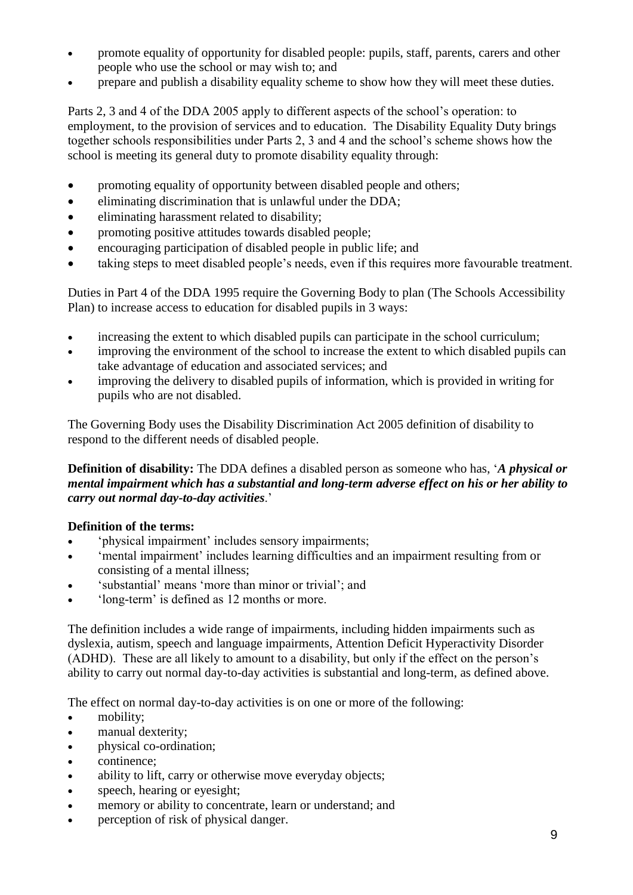- promote equality of opportunity for disabled people: pupils, staff, parents, carers and other people who use the school or may wish to; and
- prepare and publish a disability equality scheme to show how they will meet these duties.

Parts 2, 3 and 4 of the DDA 2005 apply to different aspects of the school's operation: to employment, to the provision of services and to education. The Disability Equality Duty brings together schools responsibilities under Parts 2, 3 and 4 and the school's scheme shows how the school is meeting its general duty to promote disability equality through:

- promoting equality of opportunity between disabled people and others;
- eliminating discrimination that is unlawful under the DDA;
- eliminating harassment related to disability;
- promoting positive attitudes towards disabled people;
- encouraging participation of disabled people in public life; and
- taking steps to meet disabled people's needs, even if this requires more favourable treatment.

Duties in Part 4 of the DDA 1995 require the Governing Body to plan (The Schools Accessibility Plan) to increase access to education for disabled pupils in 3 ways:

- increasing the extent to which disabled pupils can participate in the school curriculum;
- improving the environment of the school to increase the extent to which disabled pupils can take advantage of education and associated services; and
- improving the delivery to disabled pupils of information, which is provided in writing for pupils who are not disabled.

The Governing Body uses the Disability Discrimination Act 2005 definition of disability to respond to the different needs of disabled people.

**Definition of disability:** The DDA defines a disabled person as someone who has, '*A physical or mental impairment which has a substantial and long-term adverse effect on his or her ability to carry out normal day-to-day activities*.'

### **Definition of the terms:**

- 'physical impairment' includes sensory impairments;
- 'mental impairment' includes learning difficulties and an impairment resulting from or consisting of a mental illness;
- 'substantial' means 'more than minor or trivial'; and
- 'long-term' is defined as 12 months or more.

The definition includes a wide range of impairments, including hidden impairments such as dyslexia, autism, speech and language impairments, Attention Deficit Hyperactivity Disorder (ADHD). These are all likely to amount to a disability, but only if the effect on the person's ability to carry out normal day-to-day activities is substantial and long-term, as defined above.

The effect on normal day-to-day activities is on one or more of the following:

- mobility;
- manual dexterity;
- physical co-ordination;
- continence;
- ability to lift, carry or otherwise move everyday objects;
- speech, hearing or eyesight;
- memory or ability to concentrate, learn or understand; and
- perception of risk of physical danger.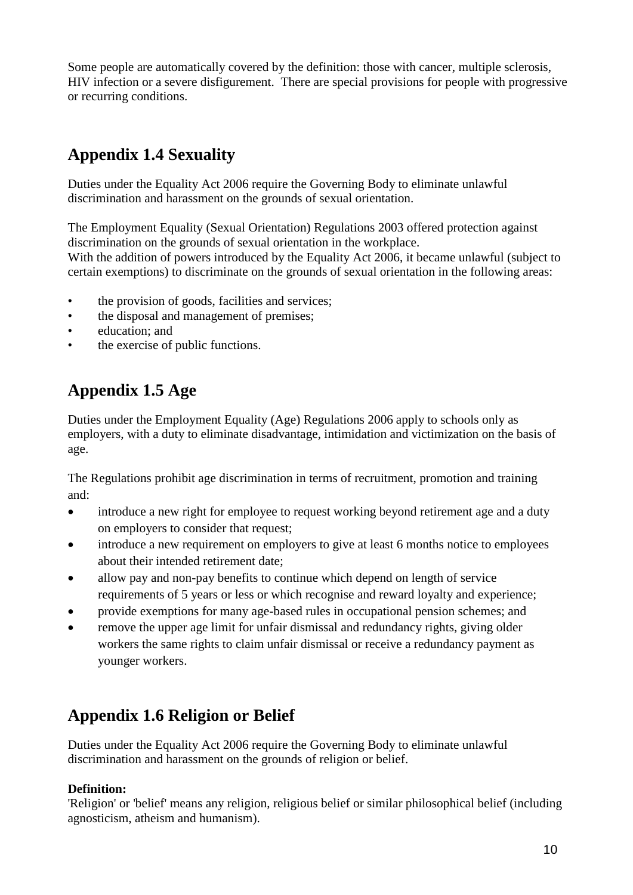Some people are automatically covered by the definition: those with cancer, multiple sclerosis, HIV infection or a severe disfigurement. There are special provisions for people with progressive or recurring conditions.

# **Appendix 1.4 Sexuality**

Duties under the Equality Act 2006 require the Governing Body to eliminate unlawful discrimination and harassment on the grounds of sexual orientation.

The Employment Equality (Sexual Orientation) Regulations 2003 offered protection against discrimination on the grounds of sexual orientation in the workplace.

With the addition of powers introduced by the Equality Act 2006, it became unlawful (subject to certain exemptions) to discriminate on the grounds of sexual orientation in the following areas:

- the provision of goods, facilities and services;
- the disposal and management of premises;
- education; and
- the exercise of public functions.

# **Appendix 1.5 Age**

Duties under the Employment Equality (Age) Regulations 2006 apply to schools only as employers, with a duty to eliminate disadvantage, intimidation and victimization on the basis of age.

The Regulations prohibit age discrimination in terms of recruitment, promotion and training and:

- introduce a new right for employee to request working beyond retirement age and a duty on employers to consider that request;
- introduce a new requirement on employers to give at least 6 months notice to employees about their intended retirement date;
- allow pay and non-pay benefits to continue which depend on length of service requirements of 5 years or less or which recognise and reward loyalty and experience;
- provide exemptions for many age-based rules in occupational pension schemes; and
- remove the upper age limit for unfair dismissal and redundancy rights, giving older workers the same rights to claim unfair dismissal or receive a redundancy payment as younger workers.

# **Appendix 1.6 Religion or Belief**

Duties under the Equality Act 2006 require the Governing Body to eliminate unlawful discrimination and harassment on the grounds of religion or belief.

### **Definition:**

'Religion' or 'belief' means any religion, religious belief or similar philosophical belief (including agnosticism, atheism and humanism).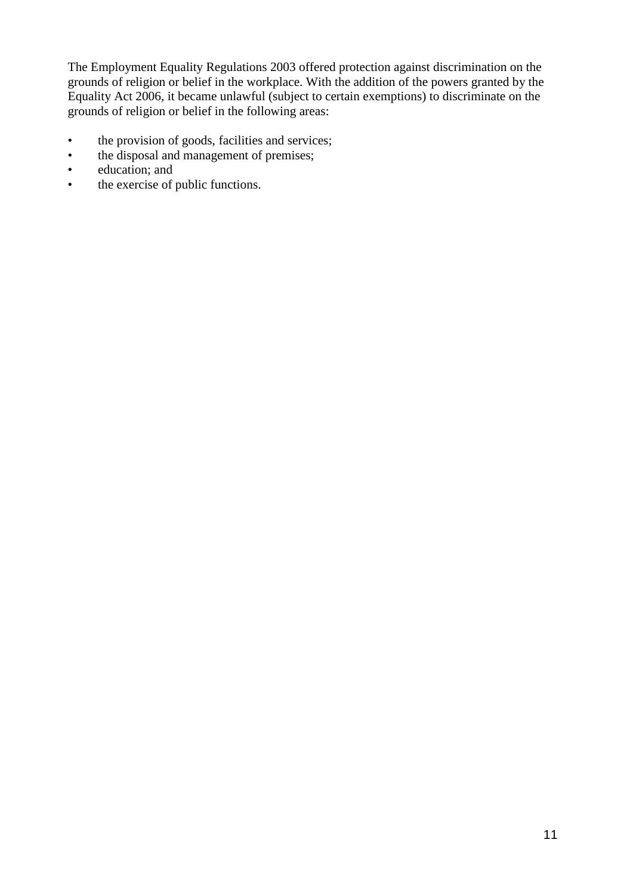The Employment Equality Regulations 2003 offered protection against discrimination on the grounds of religion or belief in the workplace. With the addition of the powers granted by the Equality Act 2006, it became unlawful (subject to certain exemptions) to discriminate on the grounds of religion or belief in the following areas:

- the provision of goods, facilities and services;
- the disposal and management of premises;<br>• education: and
- education; and
- the exercise of public functions.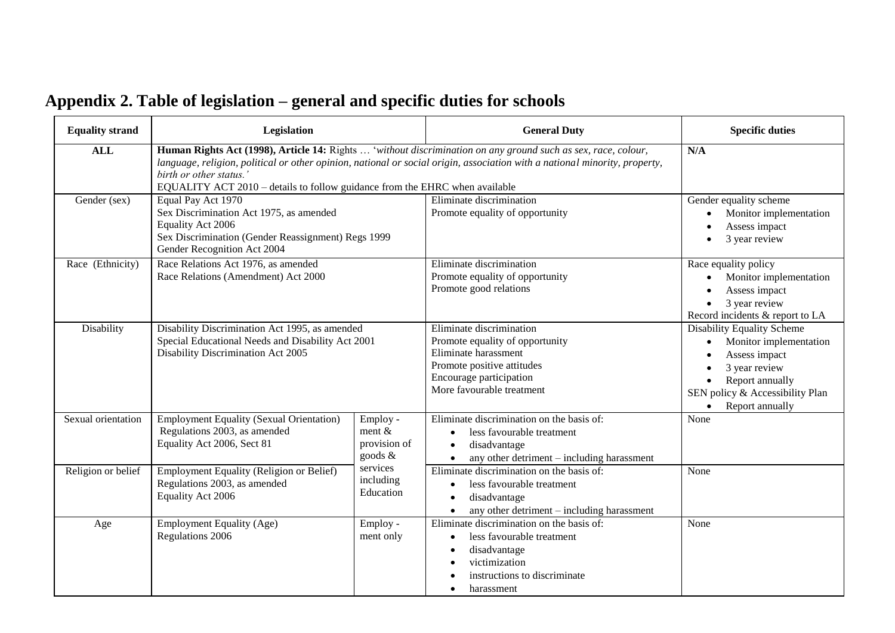# **Appendix 2. Table of legislation – general and specific duties for schools**

| <b>Equality strand</b> | Legislation                                                                                                                                                                                                                                                                                                                                           |                                                 | <b>General Duty</b>                                                                                                                                                       | <b>Specific duties</b>                                                                                                                                                 |
|------------------------|-------------------------------------------------------------------------------------------------------------------------------------------------------------------------------------------------------------------------------------------------------------------------------------------------------------------------------------------------------|-------------------------------------------------|---------------------------------------------------------------------------------------------------------------------------------------------------------------------------|------------------------------------------------------------------------------------------------------------------------------------------------------------------------|
| <b>ALL</b>             | Human Rights Act (1998), Article 14: Rights  'without discrimination on any ground such as sex, race, colour,<br>language, religion, political or other opinion, national or social origin, association with a national minority, property,<br>birth or other status.'<br>EQUALITY ACT 2010 - details to follow guidance from the EHRC when available | N/A                                             |                                                                                                                                                                           |                                                                                                                                                                        |
| Gender (sex)           | Equal Pay Act 1970<br>Sex Discrimination Act 1975, as amended<br>Equality Act 2006<br>Sex Discrimination (Gender Reassignment) Regs 1999<br>Gender Recognition Act 2004                                                                                                                                                                               |                                                 | Eliminate discrimination<br>Promote equality of opportunity                                                                                                               | Gender equality scheme<br>Monitor implementation<br>Assess impact<br>3 year review                                                                                     |
| Race (Ethnicity)       | Race Relations Act 1976, as amended<br>Race Relations (Amendment) Act 2000                                                                                                                                                                                                                                                                            |                                                 | Eliminate discrimination<br>Promote equality of opportunity<br>Promote good relations                                                                                     | Race equality policy<br>Monitor implementation<br>Assess impact<br>3 year review<br>Record incidents & report to LA                                                    |
| Disability             | Disability Discrimination Act 1995, as amended<br>Special Educational Needs and Disability Act 2001<br>Disability Discrimination Act 2005                                                                                                                                                                                                             |                                                 | Eliminate discrimination<br>Promote equality of opportunity<br>Eliminate harassment<br>Promote positive attitudes<br>Encourage participation<br>More favourable treatment | <b>Disability Equality Scheme</b><br>Monitor implementation<br>Assess impact<br>3 year review<br>Report annually<br>SEN policy & Accessibility Plan<br>Report annually |
| Sexual orientation     | <b>Employment Equality (Sexual Orientation)</b><br>Regulations 2003, as amended<br>Equality Act 2006, Sect 81                                                                                                                                                                                                                                         | Employ -<br>ment $&$<br>provision of<br>goods & | Eliminate discrimination on the basis of:<br>less favourable treatment<br>disadvantage<br>any other detriment - including harassment                                      | None                                                                                                                                                                   |
| Religion or belief     | Employment Equality (Religion or Belief)<br>Regulations 2003, as amended<br>Equality Act 2006                                                                                                                                                                                                                                                         | services<br>including<br>Education              | Eliminate discrimination on the basis of:<br>less favourable treatment<br>disadvantage<br>any other detriment - including harassment                                      | None                                                                                                                                                                   |
| Age                    | <b>Employment Equality (Age)</b><br>Regulations 2006                                                                                                                                                                                                                                                                                                  | Employ -<br>ment only                           | Eliminate discrimination on the basis of:<br>less favourable treatment<br>disadvantage<br>victimization<br>instructions to discriminate<br>harassment                     | None                                                                                                                                                                   |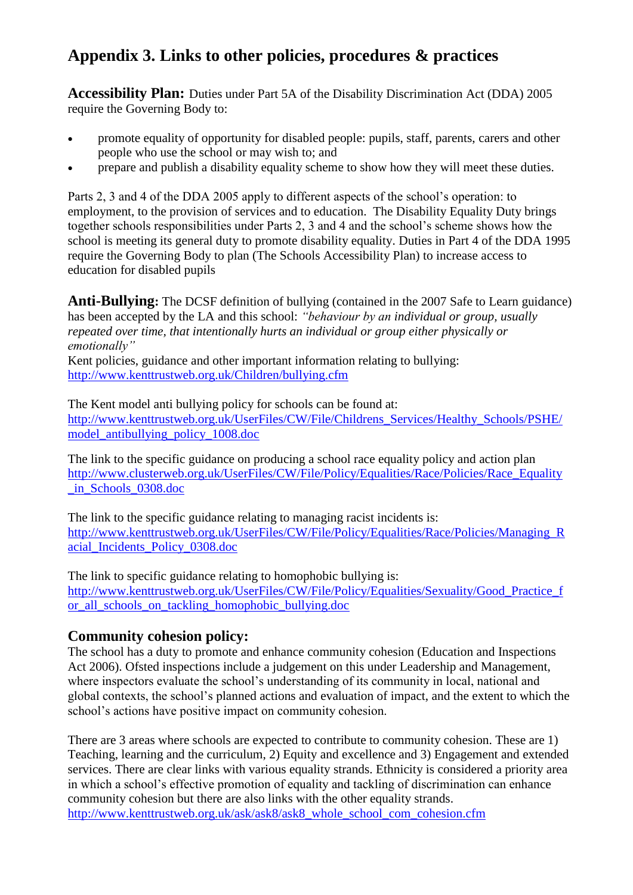### **Appendix 3. Links to other policies, procedures & practices**

**Accessibility Plan:** Duties under Part 5A of the Disability Discrimination Act (DDA) 2005 require the Governing Body to:

- promote equality of opportunity for disabled people: pupils, staff, parents, carers and other people who use the school or may wish to; and
- prepare and publish a disability equality scheme to show how they will meet these duties.

Parts 2, 3 and 4 of the DDA 2005 apply to different aspects of the school's operation: to employment, to the provision of services and to education. The Disability Equality Duty brings together schools responsibilities under Parts 2, 3 and 4 and the school's scheme shows how the school is meeting its general duty to promote disability equality. Duties in Part 4 of the DDA 1995 require the Governing Body to plan (The Schools Accessibility Plan) to increase access to education for disabled pupils

**Anti-Bullying:** The DCSF definition of bullying (contained in the 2007 Safe to Learn guidance) has been accepted by the LA and this school: *"behaviour by an individual or group, usually repeated over time, that intentionally hurts an individual or group either physically or emotionally"*

Kent policies, guidance and other important information relating to bullying: <http://www.kenttrustweb.org.uk/Children/bullying.cfm>

The Kent model anti bullying policy for schools can be found at: [http://www.kenttrustweb.org.uk/UserFiles/CW/File/Childrens\\_Services/Healthy\\_Schools/PSHE/](http://www.kenttrustweb.org.uk/UserFiles/CW/File/Childrens_Services/Healthy_Schools/PSHE/model_antibullying_policy_1008.doc) [model\\_antibullying\\_policy\\_1008.doc](http://www.kenttrustweb.org.uk/UserFiles/CW/File/Childrens_Services/Healthy_Schools/PSHE/model_antibullying_policy_1008.doc)

The link to the specific guidance on producing a school race equality policy and action plan [http://www.clusterweb.org.uk/UserFiles/CW/File/Policy/Equalities/Race/Policies/Race\\_Equality](http://www.clusterweb.org.uk/UserFiles/CW/File/Policy/Equalities/Race/Policies/Race_Equality_in_Schools_0308.doc) [\\_in\\_Schools\\_0308.doc](http://www.clusterweb.org.uk/UserFiles/CW/File/Policy/Equalities/Race/Policies/Race_Equality_in_Schools_0308.doc)

The link to the specific guidance relating to managing racist incidents is: http://www.kenttrustweb.org.uk/UserFiles/CW/File/Policy/Equalities/Race/Policies/Managing R [acial\\_Incidents\\_Policy\\_0308.doc](http://www.kenttrustweb.org.uk/UserFiles/CW/File/Policy/Equalities/Race/Policies/Managing_Racial_Incidents_Policy_0308.doc)

The link to specific guidance relating to homophobic bullying is: http://www.kenttrustweb.org.uk/UserFiles/CW/File/Policy/Equalities/Sexuality/Good Practice f [or\\_all\\_schools\\_on\\_tackling\\_homophobic\\_bullying.doc](http://www.kenttrustweb.org.uk/UserFiles/CW/File/Policy/Equalities/Sexuality/Good_Practice_for_all_schools_on_tackling_homophobic_bullying.doc)

### **Community cohesion policy:**

The school has a duty to promote and enhance community cohesion (Education and Inspections Act 2006). Ofsted inspections include a judgement on this under Leadership and Management, where inspectors evaluate the school's understanding of its community in local, national and global contexts, the school's planned actions and evaluation of impact, and the extent to which the school's actions have positive impact on community cohesion.

There are 3 areas where schools are expected to contribute to community cohesion. These are 1) Teaching, learning and the curriculum, 2) Equity and excellence and 3) Engagement and extended services. There are clear links with various equality strands. Ethnicity is considered a priority area in which a school's effective promotion of equality and tackling of discrimination can enhance community cohesion but there are also links with the other equality strands. [http://www.kenttrustweb.org.uk/ask/ask8/ask8\\_whole\\_school\\_com\\_cohesion.cfm](http://www.kenttrustweb.org.uk/ask/ask8/ask8_whole_school_com_cohesion.cfm)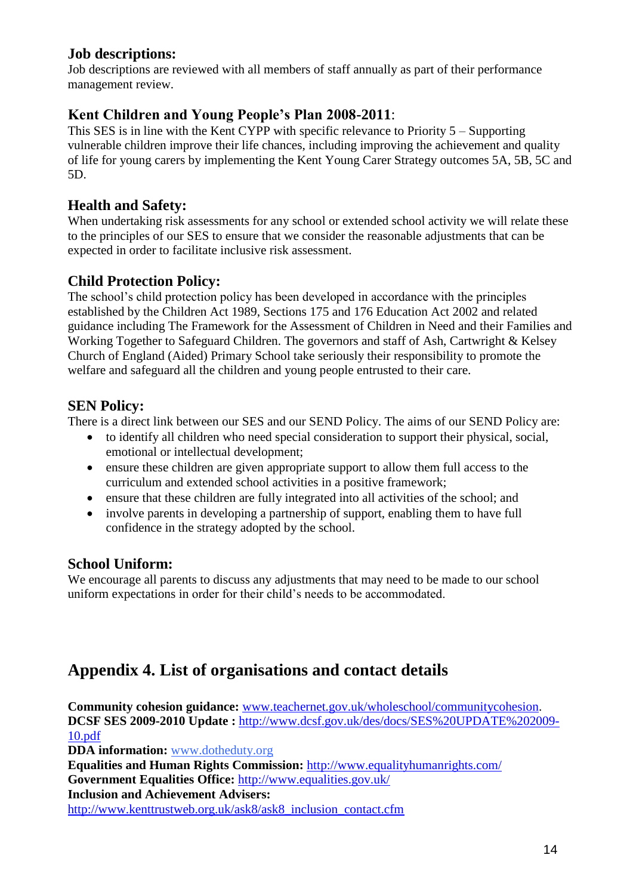### **Job descriptions:**

Job descriptions are reviewed with all members of staff annually as part of their performance management review.

### **Kent Children and Young People's Plan 2008-2011**:

This SES is in line with the Kent CYPP with specific relevance to Priority 5 – Supporting vulnerable children improve their life chances, including improving the achievement and quality of life for young carers by implementing the Kent Young Carer Strategy outcomes 5A, 5B, 5C and 5D.

### **Health and Safety:**

When undertaking risk assessments for any school or extended school activity we will relate these to the principles of our SES to ensure that we consider the reasonable adjustments that can be expected in order to facilitate inclusive risk assessment.

### **Child Protection Policy:**

The school's child protection policy has been developed in accordance with the principles established by the Children Act 1989, Sections 175 and 176 Education Act 2002 and related guidance including The Framework for the Assessment of Children in Need and their Families and Working Together to Safeguard Children. The governors and staff of Ash, Cartwright & Kelsey Church of England (Aided) Primary School take seriously their responsibility to promote the welfare and safeguard all the children and young people entrusted to their care.

### **SEN Policy:**

There is a direct link between our SES and our SEND Policy. The aims of our SEND Policy are:

- to identify all children who need special consideration to support their physical, social, emotional or intellectual development;
- ensure these children are given appropriate support to allow them full access to the curriculum and extended school activities in a positive framework;
- ensure that these children are fully integrated into all activities of the school; and
- involve parents in developing a partnership of support, enabling them to have full confidence in the strategy adopted by the school.

### **School Uniform:**

We encourage all parents to discuss any adjustments that may need to be made to our school uniform expectations in order for their child's needs to be accommodated.

# **Appendix 4. List of organisations and contact details**

**Community cohesion guidance:** [www.teachernet.gov.uk/wholeschool/communitycohesion.](http://www.teachernet.gov.uk/wholeschool/communitycohesion) **DCSF SES 2009-2010 Update :** [http://www.dcsf.gov.uk/des/docs/SES%20UPDATE%202009-](http://www.dcsf.gov.uk/des/docs/SES%20UPDATE%202009-10.pdf) [10.pdf](http://www.dcsf.gov.uk/des/docs/SES%20UPDATE%202009-10.pdf)

**DDA information:** [www.dotheduty.org](http://www.dotheduty.org/)

**Equalities and Human Rights Commission:** <http://www.equalityhumanrights.com/> **Government Equalities Office:** <http://www.equalities.gov.uk/> **Inclusion and Achievement Advisers:**

[http://www.kenttrustweb.org.uk/ask8/ask8\\_inclusion\\_contact.cfm](http://www.kenttrustweb.org.uk/ask8/ask8_inclusion_contact.cfm)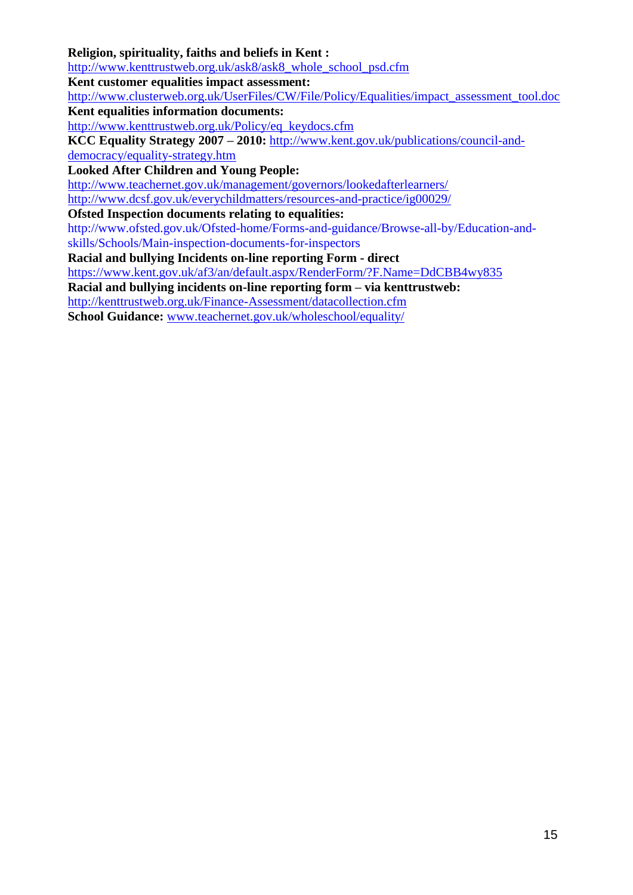### **Religion, spirituality, faiths and beliefs in Kent :**

[http://www.kenttrustweb.org.uk/ask8/ask8\\_whole\\_school\\_psd.cfm](http://www.kenttrustweb.org.uk/ask8/ask8_whole_school_psd.cfm)

**Kent customer equalities impact assessment:** 

[http://www.clusterweb.org.uk/UserFiles/CW/File/Policy/Equalities/impact\\_assessment\\_tool.doc](http://www.clusterweb.org.uk/UserFiles/CW/File/Policy/Equalities/impact_assessment_tool.doc)

**Kent equalities information documents:** 

[http://www.kenttrustweb.org.uk/Policy/eq\\_keydocs.cfm](http://www.kenttrustweb.org.uk/Policy/eq_keydocs.cfm)

**KCC Equality Strategy 2007 – 2010:** [http://www.kent.gov.uk/publications/council-and](http://www.kent.gov.uk/publications/council-and-democracy/equality-strategy.htm)[democracy/equality-strategy.htm](http://www.kent.gov.uk/publications/council-and-democracy/equality-strategy.htm)

**Looked After Children and Young People:** 

<http://www.teachernet.gov.uk/management/governors/lookedafterlearners/> http://www.dcsf.gov.uk/everychildmatters/resources-and-practice/ig00029/

#### **Ofsted Inspection documents relating to equalities:**

http://www.ofsted.gov.uk/Ofsted-home/Forms-and-guidance/Browse-all-by/Education-andskills/Schools/Main-inspection-documents-for-inspectors

**Racial and bullying Incidents on-line reporting Form - direct**

<https://www.kent.gov.uk/af3/an/default.aspx/RenderForm/?F.Name=DdCBB4wy835>

**Racial and bullying incidents on-line reporting form – via kenttrustweb:**

[http://kenttrustweb.org.uk/Finance-Assessment/datacollection.cfm](http://www.kenttrustweb.org.uk/finance-assessment/fin_ass_perf.cfm)

**School Guidance:** [www.teachernet.gov.uk/wholeschool/equality/](http://www.teachernet.gov.uk/wholeschool/equality/)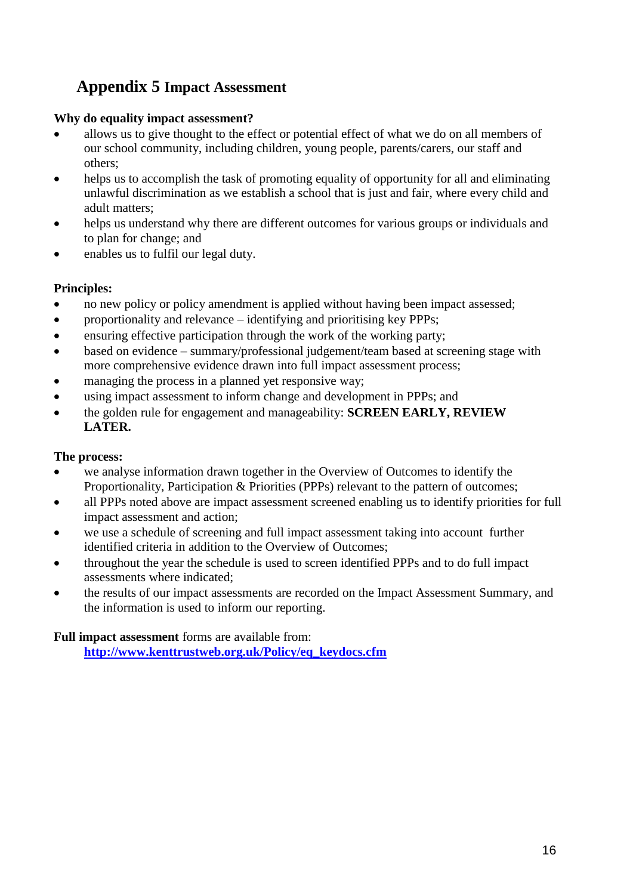### **Appendix 5 Impact Assessment**

### **Why do equality impact assessment?**

- allows us to give thought to the effect or potential effect of what we do on all members of our school community, including children, young people, parents/carers, our staff and others;
- helps us to accomplish the task of promoting equality of opportunity for all and eliminating unlawful discrimination as we establish a school that is just and fair, where every child and adult matters;
- helps us understand why there are different outcomes for various groups or individuals and to plan for change; and
- enables us to fulfil our legal duty.

### **Principles:**

- no new policy or policy amendment is applied without having been impact assessed;
- proportionality and relevance identifying and prioritising key PPPs;
- ensuring effective participation through the work of the working party;
- based on evidence summary/professional judgement/team based at screening stage with more comprehensive evidence drawn into full impact assessment process;
- managing the process in a planned yet responsive way;
- using impact assessment to inform change and development in PPPs; and
- the golden rule for engagement and manageability: **SCREEN EARLY, REVIEW LATER.**

### **The process:**

- we analyse information drawn together in the Overview of Outcomes to identify the Proportionality, Participation & Priorities (PPPs) relevant to the pattern of outcomes;
- all PPPs noted above are impact assessment screened enabling us to identify priorities for full impact assessment and action;
- we use a schedule of screening and full impact assessment taking into account further identified criteria in addition to the Overview of Outcomes;
- throughout the year the schedule is used to screen identified PPPs and to do full impact assessments where indicated;
- the results of our impact assessments are recorded on the Impact Assessment Summary, and the information is used to inform our reporting.

### **Full impact assessment** forms are available from:

**[http://www.kenttrustweb.org.uk/Policy/eq\\_keydocs.cfm](http://www.kenttrustweb.org.uk/Policy/eq_keydocs.cfm)**